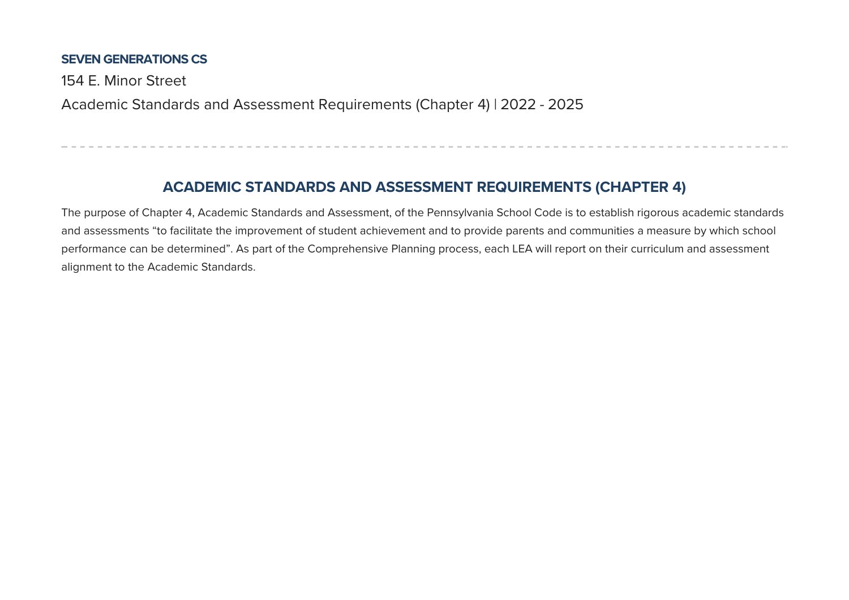#### **SEVEN GENERATIONS CS**

154 F. Minor Street

Academic Standards and Assessment Requirements (Chapter 4) | 2022 - 2025

# **ACADEMIC STANDARDS AND ASSESSMENT REQUIREMENTS (CHAPTER 4)**

The purpose of Chapter 4, Academic Standards and Assessment, of the Pennsylvania School Code is to establish rigorous academic standards and assessments "to facilitate the improvement of student achievement and to provide parents and communities a measure by which school performance can be determined". As part of the Comprehensive Planning process, each LEA will report on their curriculum and assessment alignment to the Academic Standards.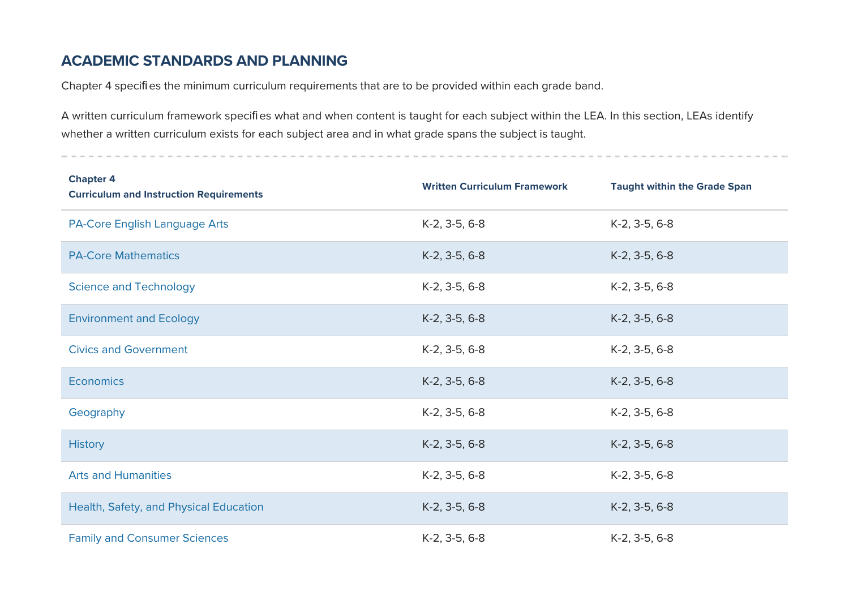### **ACADEMIC STANDARDS AND PLANNING**

Chapter 4 specifies the minimum curriculum requirements that are to be provided within each grade band.

A written curriculum framework specifies what and when content is taught for each subject within the LEA. In this section, LEAs identify whether a written curriculum exists for each subject area and in what grade spans the subject is taught.

| <b>Chapter 4</b><br><b>Curriculum and Instruction Requirements</b> | <b>Written Curriculum Framework</b> | <b>Taught within the Grade Span</b> |
|--------------------------------------------------------------------|-------------------------------------|-------------------------------------|
| <b>PA-Core English Language Arts</b>                               | K-2, 3-5, 6-8                       | K-2, 3-5, 6-8                       |
| <b>PA-Core Mathematics</b>                                         | K-2, 3-5, 6-8                       | K-2, 3-5, 6-8                       |
| <b>Science and Technology</b>                                      | K-2, 3-5, 6-8                       | K-2, 3-5, 6-8                       |
| <b>Environment and Ecology</b>                                     | K-2, 3-5, 6-8                       | K-2, 3-5, 6-8                       |
| <b>Civics and Government</b>                                       | K-2, 3-5, 6-8                       | K-2, 3-5, 6-8                       |
| <b>Economics</b>                                                   | K-2, 3-5, 6-8                       | K-2, 3-5, 6-8                       |
| Geography                                                          | K-2, 3-5, 6-8                       | K-2, 3-5, 6-8                       |
| <b>History</b>                                                     | K-2, 3-5, 6-8                       | K-2, 3-5, 6-8                       |
| <b>Arts and Humanities</b>                                         | K-2, 3-5, 6-8                       | K-2, 3-5, 6-8                       |
| Health, Safety, and Physical Education                             | K-2, 3-5, 6-8                       | K-2, 3-5, 6-8                       |
| <b>Family and Consumer Sciences</b>                                | K-2, 3-5, 6-8                       | K-2, 3-5, 6-8                       |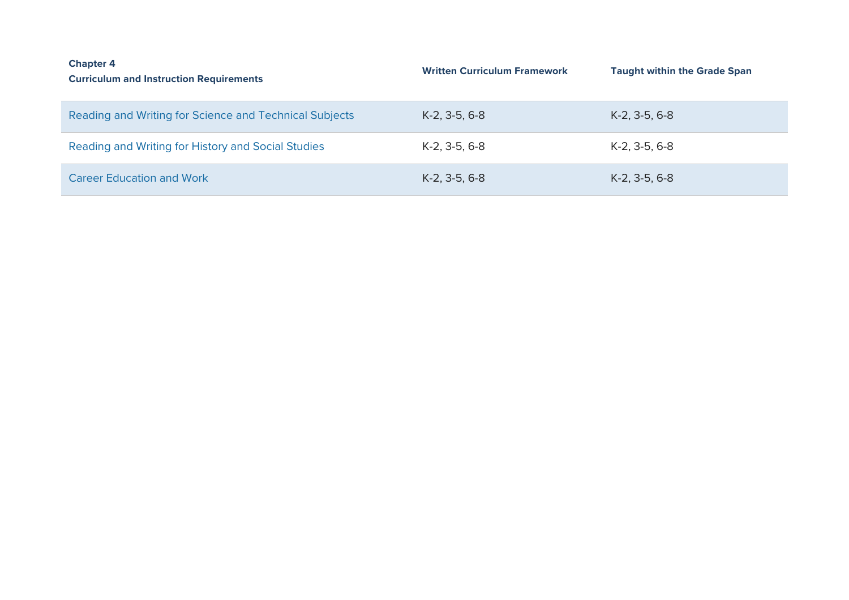| <b>Chapter 4</b><br><b>Curriculum and Instruction Requirements</b> | <b>Written Curriculum Framework</b> | <b>Taught within the Grade Span</b> |
|--------------------------------------------------------------------|-------------------------------------|-------------------------------------|
| Reading and Writing for Science and Technical Subjects             | $K-2, 3-5, 6-8$                     | $K-2$ , 3-5, 6-8                    |
| Reading and Writing for History and Social Studies                 | $K-2$ , 3-5, 6-8                    | $K-2, 3-5, 6-8$                     |
| <b>Career Education and Work</b>                                   | $K-2$ , 3-5, 6-8                    | $K-2$ , 3-5, 6-8                    |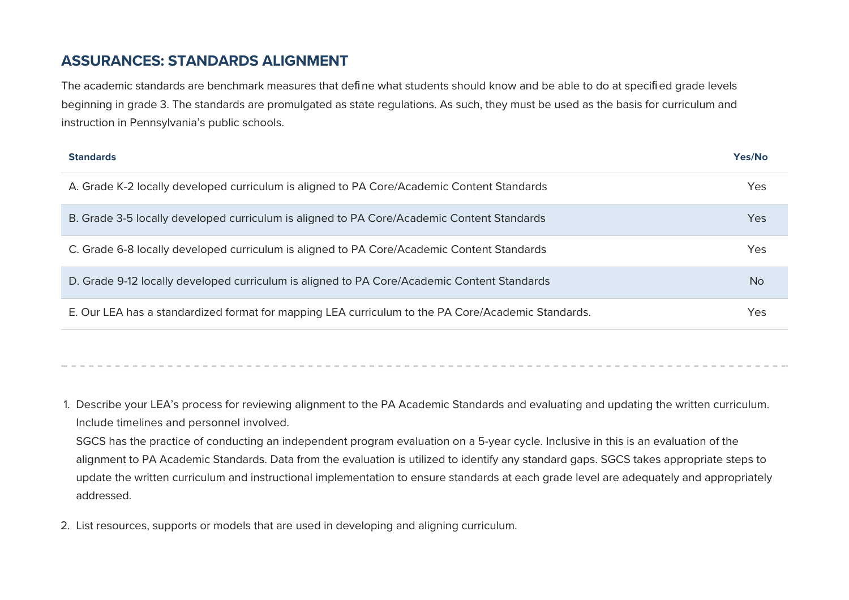### **ASSURANCES: STANDARDS ALIGNMENT**

The academic standards are benchmark measures that define what students should know and be able to do at specified grade levels beginning in grade 3. The standards are promulgated as state regulations. As such, they must be used as the basis for curriculum and instruction in Pennsylvania's public schools.

| <b>Standards</b>                                                                                   | Yes/No     |
|----------------------------------------------------------------------------------------------------|------------|
| A. Grade K-2 locally developed curriculum is aligned to PA Core/Academic Content Standards         | <b>Yes</b> |
| B. Grade 3-5 locally developed curriculum is aligned to PA Core/Academic Content Standards         | Yes        |
| C. Grade 6-8 locally developed curriculum is aligned to PA Core/Academic Content Standards         | Yes        |
| D. Grade 9-12 locally developed curriculum is aligned to PA Core/Academic Content Standards        | <b>No</b>  |
| E. Our LEA has a standardized format for mapping LEA curriculum to the PA Core/Academic Standards. | Yes        |

1. Describe your LEA's process for reviewing alignment to the PA Academic Standards and evaluating and updating the written curriculum. Include timelines and personnel involved.

SGCS has the practice of conducting an independent program evaluation on a 5-year cycle. Inclusive in this is an evaluation of the alignment to PA Academic Standards. Data from the evaluation is utilized to identify any standard gaps. SGCS takes appropriate steps to update the written curriculum and instructional implementation to ensure standards at each grade level are adequately and appropriately addressed.

2. List resources, supports or models that are used in developing and aligning curriculum.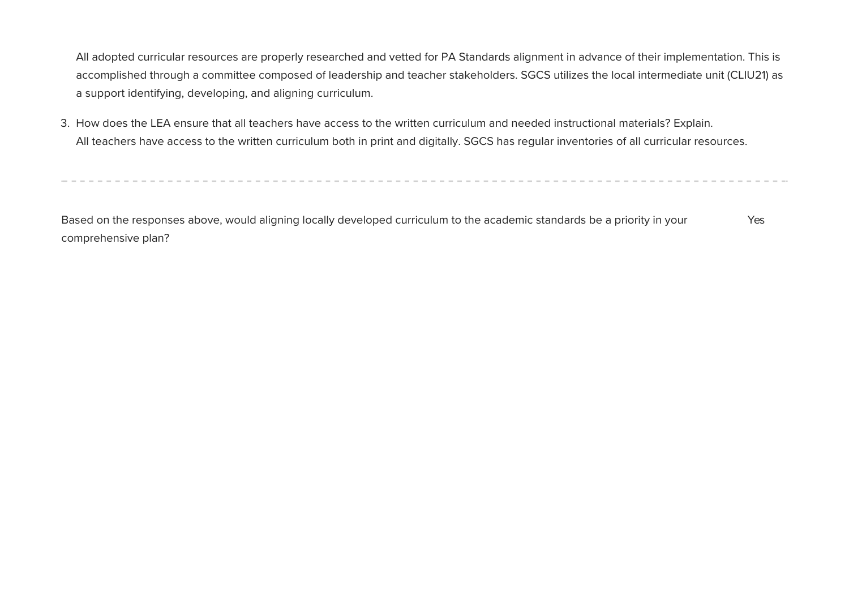All adopted curricular resources are properly researched and vetted for PA Standards alignment in advance of their implementation. This is accomplished through a committee composed of leadership and teacher stakeholders. SGCS utilizes the local intermediate unit (CLIU21) as a support identifying, developing, and aligning curriculum.

3. How does the LEA ensure that all teachers have access to the written curriculum and needed instructional materials? Explain. All teachers have access to the written curriculum both in print and digitally. SGCS has regular inventories of all curricular resources.

Based on the responses above, would aligning locally developed curriculum to the academic standards be a priority in your comprehensive plan? Yes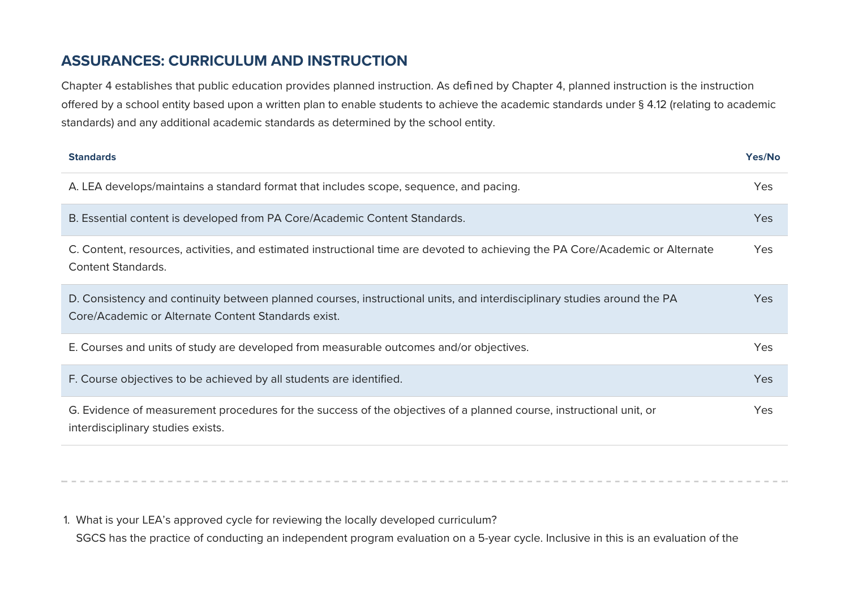### **ASSURANCES: CURRICULUM AND INSTRUCTION**

Chapter 4 establishes that public education provides planned instruction. As defined by Chapter 4, planned instruction is the instruction offered by a school entity based upon a written plan to enable students to achieve the academic standards under § 4.12 (relating to academic standards) and any additional academic standards as determined by the school entity.

| <b>Standards</b>                                                                                                                                                               | Yes/No     |
|--------------------------------------------------------------------------------------------------------------------------------------------------------------------------------|------------|
| A. LEA develops/maintains a standard format that includes scope, sequence, and pacing.                                                                                         | Yes        |
| B. Essential content is developed from PA Core/Academic Content Standards.                                                                                                     | Yes        |
| C. Content, resources, activities, and estimated instructional time are devoted to achieving the PA Core/Academic or Alternate<br><b>Content Standards.</b>                    | Yes        |
| D. Consistency and continuity between planned courses, instructional units, and interdisciplinary studies around the PA<br>Core/Academic or Alternate Content Standards exist. | Yes        |
| E. Courses and units of study are developed from measurable outcomes and/or objectives.                                                                                        | <b>Yes</b> |
| F. Course objectives to be achieved by all students are identified.                                                                                                            | Yes        |
| G. Evidence of measurement procedures for the success of the objectives of a planned course, instructional unit, or<br>interdisciplinary studies exists.                       | Yes        |

1. What is your LEA's approved cycle for reviewing the locally developed curriculum? SGCS has the practice of conducting an independent program evaluation on a 5-year cycle. Inclusive in this is an evaluation of the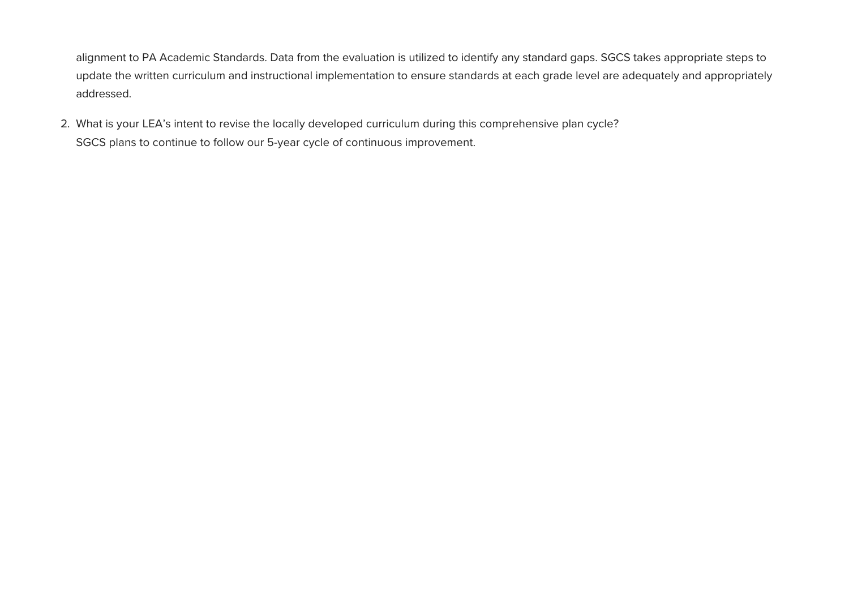alignment to PA Academic Standards. Data from the evaluation is utilized to identify any standard gaps. SGCS takes appropriate steps to update the written curriculum and instructional implementation to ensure standards at each grade level are adequately and appropriately addressed.

2. What is your LEA's intent to revise the locally developed curriculum during this comprehensive plan cycle? SGCS plans to continue to follow our 5-year cycle of continuous improvement.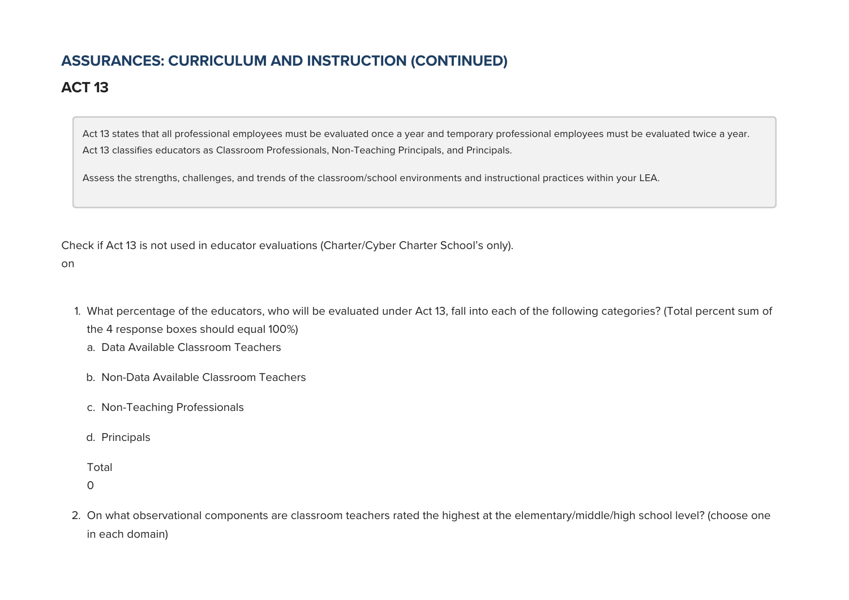# **ASSURANCES: CURRICULUM AND INSTRUCTION (CONTINUED)**

# **ACT 13**

Act 13 states that all professional employees must be evaluated once a year and temporary professional employees must be evaluated twice a year. Act 13 classifies educators as Classroom Professionals, Non-Teaching Principals, and Principals.

Assess the strengths, challenges, and trends of the classroom/school environments and instructional practices within your LEA.

Check if Act 13 is not used in educator evaluations (Charter/Cyber Charter School's only).

on

- 1. What percentage of the educators, who will be evaluated under Act 13, fall into each of the following categories? (Total percent sum of the 4 response boxes should equal 100%)
	- a. Data Available Classroom Teachers
	- b. Non-Data Available Classroom Teachers
	- c. Non-Teaching Professionals
	- d. Principals

Total

 $\Omega$ 

2. On what observational components are classroom teachers rated the highest at the elementary/middle/high school level? (choose one in each domain)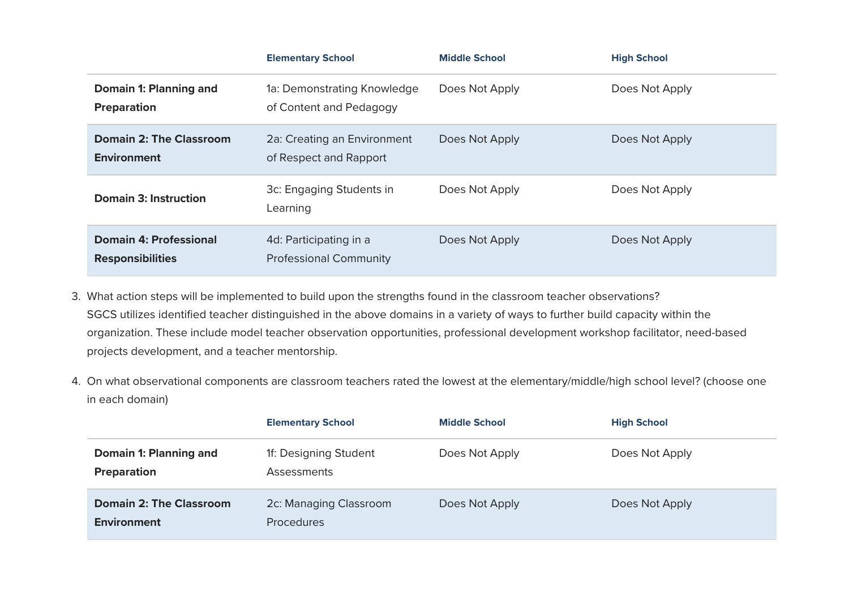|                                                          | <b>Elementary School</b>                                | <b>Middle School</b> | <b>High School</b> |
|----------------------------------------------------------|---------------------------------------------------------|----------------------|--------------------|
| Domain 1: Planning and<br><b>Preparation</b>             | 1a: Demonstrating Knowledge<br>of Content and Pedagogy  | Does Not Apply       | Does Not Apply     |
| <b>Domain 2: The Classroom</b><br><b>Environment</b>     | 2a: Creating an Environment<br>of Respect and Rapport   | Does Not Apply       | Does Not Apply     |
| Domain 3: Instruction                                    | 3c: Engaging Students in<br>Learning                    | Does Not Apply       | Does Not Apply     |
| <b>Domain 4: Professional</b><br><b>Responsibilities</b> | 4d: Participating in a<br><b>Professional Community</b> | Does Not Apply       | Does Not Apply     |

- 3. What action steps will be implemented to build upon the strengths found in the classroom teacher observations? SGCS utilizes identified teacher distinguished in the above domains in a variety of ways to further build capacity within the organization. These include model teacher observation opportunities, professional development workshop facilitator, need-based projects development, and a teacher mentorship.
- 4. On what observational components are classroom teachers rated the lowest at the elementary/middle/high school level? (choose one in each domain)

|                                               | <b>Elementary School</b>                    | <b>Middle School</b> | <b>High School</b> |
|-----------------------------------------------|---------------------------------------------|----------------------|--------------------|
| Domain 1: Planning and<br>Preparation         | 1f: Designing Student<br>Assessments        | Does Not Apply       | Does Not Apply     |
| <b>Domain 2: The Classroom</b><br>Environment | 2c: Managing Classroom<br><b>Procedures</b> | Does Not Apply       | Does Not Apply     |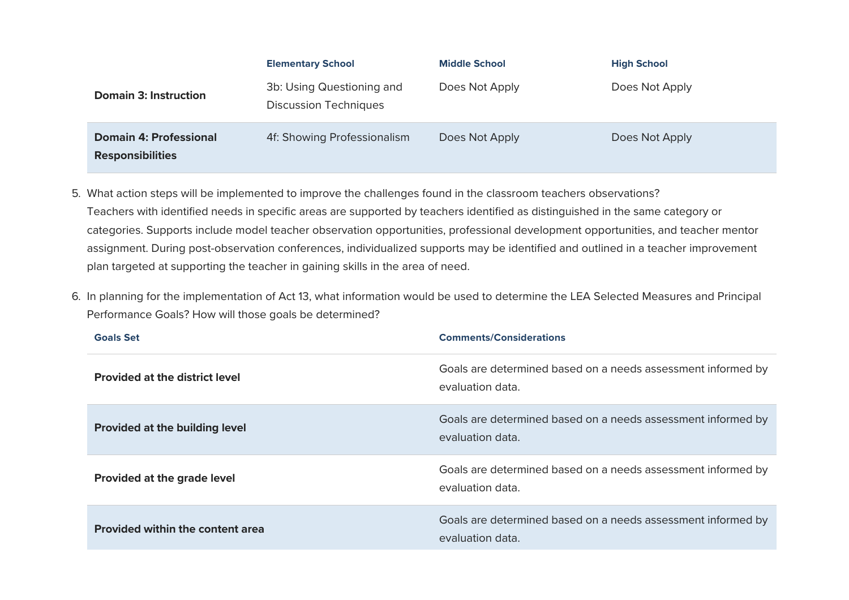|                                                          | <b>Elementary School</b>                                  | <b>Middle School</b> | <b>High School</b> |
|----------------------------------------------------------|-----------------------------------------------------------|----------------------|--------------------|
| <b>Domain 3: Instruction</b>                             | 3b: Using Questioning and<br><b>Discussion Techniques</b> | Does Not Apply       | Does Not Apply     |
| <b>Domain 4: Professional</b><br><b>Responsibilities</b> | 4f: Showing Professionalism                               | Does Not Apply       | Does Not Apply     |

- 5. What action steps will be implemented to improve the challenges found in the classroom teachers observations? Teachers with identified needs in specific areas are supported by teachers identified as distinguished in the same category or categories. Supports include model teacher observation opportunities, professional development opportunities, and teacher mentor assignment. During post-observation conferences, individualized supports may be identified and outlined in a teacher improvement plan targeted at supporting the teacher in gaining skills in the area of need.
- 6. In planning for the implementation of Act 13, what information would be used to determine the LEA Selected Measures and Principal Performance Goals? How will those goals be determined?

| <b>Goals Set</b>                        | <b>Comments/Considerations</b>                                                   |  |
|-----------------------------------------|----------------------------------------------------------------------------------|--|
| <b>Provided at the district level</b>   | Goals are determined based on a needs assessment informed by<br>evaluation data. |  |
| <b>Provided at the building level</b>   | Goals are determined based on a needs assessment informed by<br>evaluation data. |  |
| <b>Provided at the grade level</b>      | Goals are determined based on a needs assessment informed by<br>evaluation data. |  |
| <b>Provided within the content area</b> | Goals are determined based on a needs assessment informed by<br>evaluation data. |  |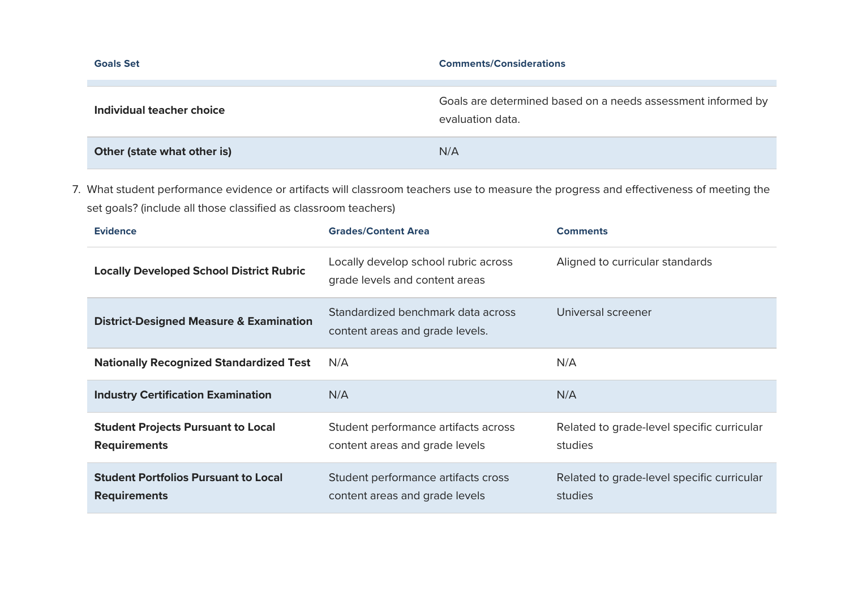| <b>Goals Set</b>            | <b>Comments/Considerations</b>                                                   |
|-----------------------------|----------------------------------------------------------------------------------|
|                             |                                                                                  |
| Individual teacher choice   | Goals are determined based on a needs assessment informed by<br>evaluation data. |
| Other (state what other is) | N/A                                                                              |

7. What student performance evidence or artifacts will classroom teachers use to measure the progress and effectiveness of meeting the set goals? (include all those classified as classroom teachers)

| <b>Evidence</b>                                                    | <b>Grades/Content Area</b>                                             | <b>Comments</b>                                       |
|--------------------------------------------------------------------|------------------------------------------------------------------------|-------------------------------------------------------|
| <b>Locally Developed School District Rubric</b>                    | Locally develop school rubric across<br>grade levels and content areas | Aligned to curricular standards                       |
| <b>District-Designed Measure &amp; Examination</b>                 | Standardized benchmark data across<br>content areas and grade levels.  | Universal screener                                    |
| <b>Nationally Recognized Standardized Test</b>                     | N/A                                                                    | N/A                                                   |
| <b>Industry Certification Examination</b>                          | N/A                                                                    | N/A                                                   |
| <b>Student Projects Pursuant to Local</b><br><b>Requirements</b>   | Student performance artifacts across<br>content areas and grade levels | Related to grade-level specific curricular<br>studies |
| <b>Student Portfolios Pursuant to Local</b><br><b>Requirements</b> | Student performance artifacts cross<br>content areas and grade levels  | Related to grade-level specific curricular<br>studies |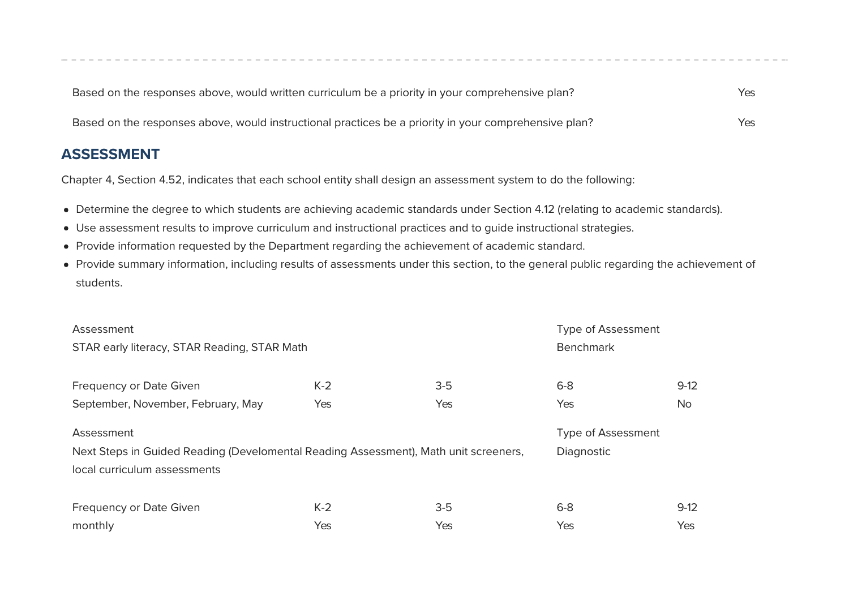| Based on the responses above, would written curriculum be a priority in your comprehensive plan?      | Yes |
|-------------------------------------------------------------------------------------------------------|-----|
| Based on the responses above, would instructional practices be a priority in your comprehensive plan? | Yes |

#### **ASSESSMENT**

Chapter 4, Section 4.52, indicates that each school entity shall design an assessment system to do the following:

- Determine the degree to which students are achieving academic standards under Section 4.12 (relating to academic standards).
- Use assessment results to improve curriculum and instructional practices and to guide instructional strategies.
- Provide information requested by the Department regarding the achievement of academic standard.
- Provide summary information, including results of assessments under this section, to the general public regarding the achievement of students.

| Assessment                                                                           |       |       | <b>Type of Assessment</b> |           |
|--------------------------------------------------------------------------------------|-------|-------|---------------------------|-----------|
| STAR early literacy, STAR Reading, STAR Math                                         |       |       | <b>Benchmark</b>          |           |
|                                                                                      | $K-2$ | $3-5$ | $6 - 8$                   | $9-12$    |
| <b>Frequency or Date Given</b>                                                       |       |       |                           |           |
| September, November, February, May                                                   | Yes   | Yes   | Yes                       | <b>No</b> |
| Assessment                                                                           |       |       | <b>Type of Assessment</b> |           |
| Next Steps in Guided Reading (Develomental Reading Assessment), Math unit screeners, |       |       | Diagnostic                |           |
| local curriculum assessments                                                         |       |       |                           |           |
|                                                                                      |       |       |                           |           |
| Frequency or Date Given                                                              | $K-2$ | $3-5$ | $6 - 8$                   | $9-12$    |
| monthly                                                                              | Yes   | Yes   | Yes                       | Yes       |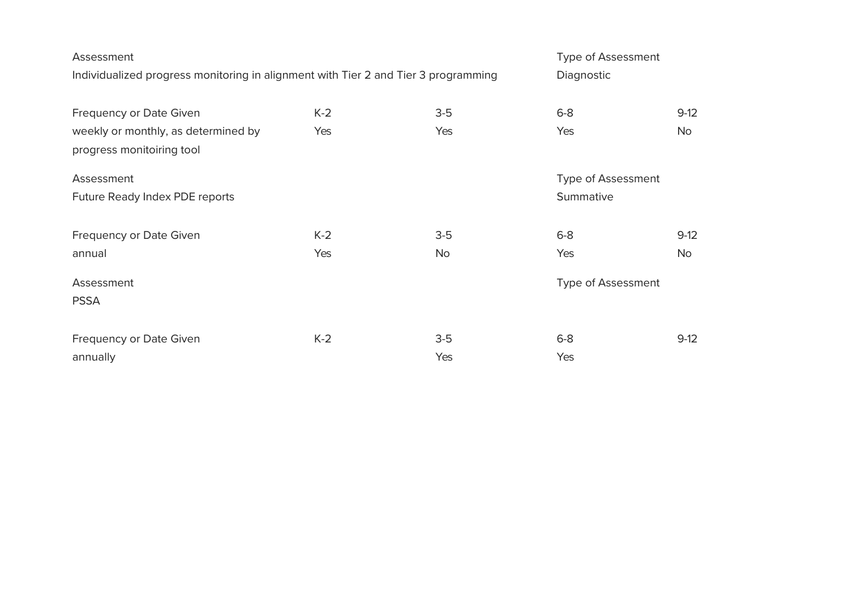| Assessment<br>Individualized progress monitoring in alignment with Tier 2 and Tier 3 programming |              |                    | <b>Type of Assessment</b><br>Diagnostic   |                     |
|--------------------------------------------------------------------------------------------------|--------------|--------------------|-------------------------------------------|---------------------|
| Frequency or Date Given<br>weekly or monthly, as determined by<br>progress monitoiring tool      | $K-2$<br>Yes | $3-5$<br>Yes       | $6-8$<br>Yes                              | $9-12$<br><b>No</b> |
| Assessment<br>Future Ready Index PDE reports                                                     |              |                    | <b>Type of Assessment</b><br>Summative    |                     |
| Frequency or Date Given<br>annual<br>Assessment<br><b>PSSA</b>                                   | $K-2$<br>Yes | $3-5$<br><b>No</b> | $6-8$<br>Yes<br><b>Type of Assessment</b> | $9-12$<br><b>No</b> |
| Frequency or Date Given<br>annually                                                              | $K-2$        | $3-5$<br>Yes       | $6-8$<br>Yes                              | $9-12$              |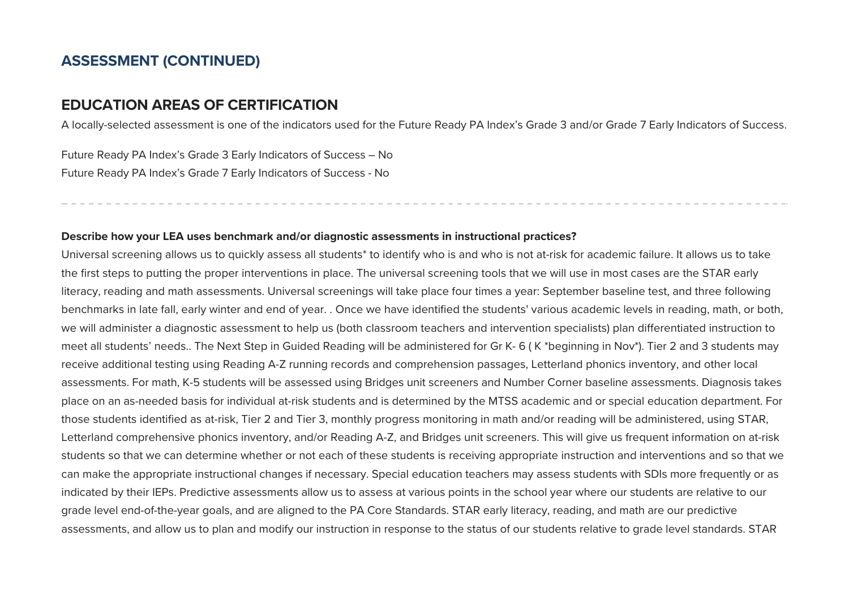#### **ASSESSMENT (CONTINUED)**

#### **EDUCATION AREAS OF CERTIFICATION**

A locally-selected assessment is one of the indicators used for the Future Ready PA Index's Grade 3 and/or Grade 7 Early Indicators of Success.

Future Ready PA Index's Grade 3 Early Indicators of Success – No Future Ready PA Index's Grade 7 Early Indicators of Success - No

#### **Describe how your LEA uses benchmark and/or diagnostic assessments in instructional practices?**

Universal screening allows us to quickly assess all students\* to identify who is and who is not at-risk for academic failure. It allows us to take the first steps to putting the proper interventions in place. The universal screening tools that we will use in most cases are the STAR early literacy, reading and math assessments. Universal screenings will take place four times a year: September baseline test, and three following benchmarks in late fall, early winter and end of year. . Once we have identified the students' various academic levels in reading, math, or both, we will administer a diagnostic assessment to help us (both classroom teachers and intervention specialists) plan differentiated instruction to meet all students' needs.. The Next Step in Guided Reading will be administered for Gr K- 6 (K\*beginning in Nov\*). Tier 2 and 3 students may receive additional testing using Reading A-Z running records and comprehension passages, Letterland phonics inventory, and other local assessments. For math, K-5 students will be assessed using Bridges unit screeners and Number Corner baseline assessments. Diagnosis takes place on an as-needed basis for individual at-risk students and is determined by the MTSS academic and or special education department. For those students identified as at-risk, Tier 2 and Tier 3, monthly progress monitoring in math and/or reading will be administered, using STAR, Letterland comprehensive phonics inventory, and/or Reading A-Z, and Bridges unit screeners. This will give us frequent information on at-risk students so that we can determine whether or not each of these students is receiving appropriate instruction and interventions and so that we can make the appropriate instructional changes if necessary. Special education teachers may assess students with SDIs more frequently or as indicated by their IEPs. Predictive assessments allow us to assess at various points in the school year where our students are relative to our grade level end-of-the-year goals, and are aligned to the PA Core Standards. STAR early literacy, reading, and math are our predictive assessments, and allow us to plan and modify our instruction in response to the status of our students relative to grade level standards. STAR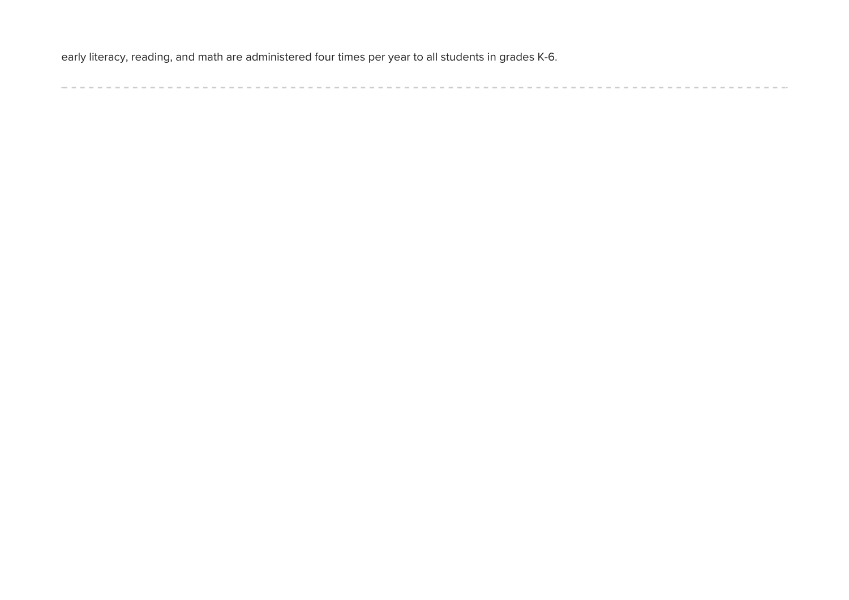early literacy, reading, and math are administered four times per year to all students in grades K-6.